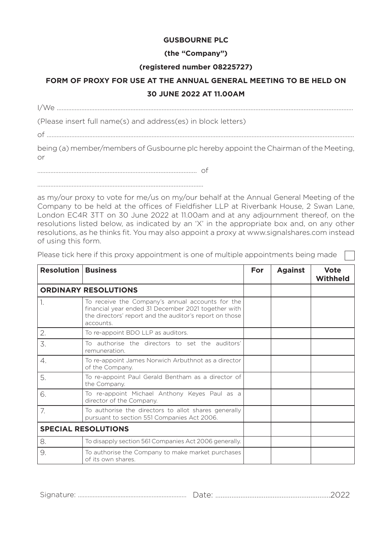## **GUSBOURNE PLC**

## **(the "Company")**

#### **(registered number 08225727)**

# **FORM OF PROXY FOR USE AT THE ANNUAL GENERAL MEETING TO BE HELD ON 30 JUNE 2022 AT 11.00AM**

I/We …………………………………………………………………………………………...........................................................................…

(Please insert full name(s) and address(es) in block letters)

of ………………………………………………………………………………………………………………………....................................................

being (a) member/members of Gusbourne plc hereby appoint the Chairman of the Meeting, or

……………………………………………………………............................ of

……………………………………………………………................................

as my/our proxy to vote for me/us on my/our behalf at the Annual General Meeting of the Company to be held at the offices of Fieldfisher LLP at Riverbank House, 2 Swan Lane, London EC4R 3TT on 30 June 2022 at 11.00am and at any adjournment thereof, on the resolutions listed below, as indicated by an 'X' in the appropriate box and, on any other resolutions, as he thinks fit. You may also appoint a proxy at www.signalshares.com instead of using this form.

Please tick here if this proxy appointment is one of multiple appointments being made

| <b>Resolution   Business</b> |                                                                                                                                                                                 | For | <b>Against</b> | <b>Vote</b><br><b>Withheld</b> |
|------------------------------|---------------------------------------------------------------------------------------------------------------------------------------------------------------------------------|-----|----------------|--------------------------------|
| <b>ORDINARY RESOLUTIONS</b>  |                                                                                                                                                                                 |     |                |                                |
| 1.                           | To receive the Company's annual accounts for the<br>financial year ended 31 December 2021 together with<br>the directors' report and the auditor's report on those<br>accounts. |     |                |                                |
| 2.                           | To re-appoint BDO LLP as auditors.                                                                                                                                              |     |                |                                |
| 3.                           | To authorise the directors to set the auditors'<br>remuneration.                                                                                                                |     |                |                                |
| 4.                           | To re-appoint James Norwich Arbuthnot as a director<br>of the Company.                                                                                                          |     |                |                                |
| 5.                           | To re-appoint Paul Gerald Bentham as a director of<br>the Company.                                                                                                              |     |                |                                |
| 6.                           | To re-appoint Michael Anthony Keyes Paul as a<br>director of the Company.                                                                                                       |     |                |                                |
| 7.                           | To authorise the directors to allot shares generally<br>pursuant to section 551 Companies Act 2006.                                                                             |     |                |                                |
| <b>SPECIAL RESOLUTIONS</b>   |                                                                                                                                                                                 |     |                |                                |
| 8.                           | To disapply section 561 Companies Act 2006 generally.                                                                                                                           |     |                |                                |
| 9.                           | To authorise the Company to make market purchases<br>of its own shares.                                                                                                         |     |                |                                |

Signature: …………………………………………...............… Date: …………………………………………................2022